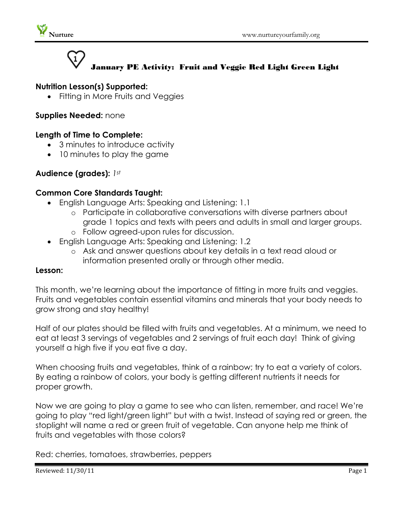

# January PE Activity: Fruit and Veggie Red Light Green Light

## **Nutrition Lesson(s) Supported:**

• Fitting in More Fruits and Veggies

### **Supplies Needed:** none

### **Length of Time to Complete:**

- 3 minutes to introduce activity
- 10 minutes to play the game

## **Audience (grades):** *1st*

#### **Common Core Standards Taught:**

- English Language Arts: Speaking and Listening: 1.1
	- o Participate in collaborative conversations with diverse partners about grade 1 topics and texts with peers and adults in small and larger groups.
	- o Follow agreed-upon rules for discussion.
- English Language Arts: Speaking and Listening: 1.2
	- o Ask and answer questions about key details in a text read aloud or information presented orally or through other media.

#### **Lesson:**

This month, we're learning about the importance of fitting in more fruits and veggies. Fruits and vegetables contain essential vitamins and minerals that your body needs to grow strong and stay healthy!

Half of our plates should be filled with fruits and vegetables. At a minimum, we need to eat at least 3 servings of vegetables and 2 servings of fruit each day! Think of giving yourself a high five if you eat five a day.

When choosing fruits and vegetables, think of a rainbow; try to eat a variety of colors. By eating a rainbow of colors, your body is getting different nutrients it needs for proper growth.

Now we are going to play a game to see who can listen, remember, and race! We're going to play "red light/green light" but with a twist. Instead of saying red or green, the stoplight will name a red or green fruit of vegetable. Can anyone help me think of fruits and vegetables with those colors?

Red: cherries, tomatoes, strawberries, peppers